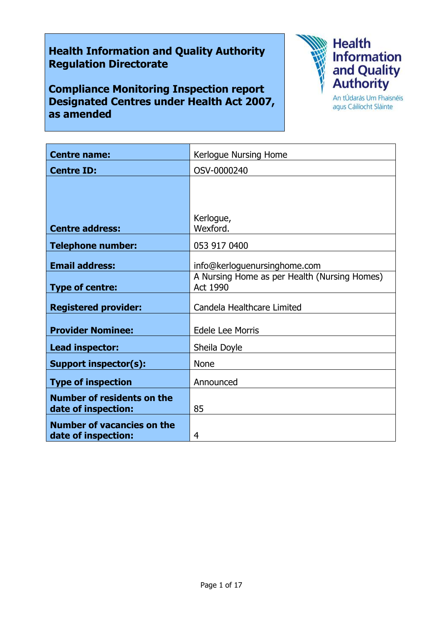# **Health Information and Quality Authority Regulation Directorate**

**Compliance Monitoring Inspection report Designated Centres under Health Act 2007, as amended**



agus Cáilíocht Sláinte

| <b>Centre name:</b>                                      | Kerlogue Nursing Home                                           |
|----------------------------------------------------------|-----------------------------------------------------------------|
| <b>Centre ID:</b>                                        | OSV-0000240                                                     |
|                                                          |                                                                 |
|                                                          |                                                                 |
|                                                          | Kerlogue,                                                       |
| <b>Centre address:</b>                                   | Wexford.                                                        |
| <b>Telephone number:</b>                                 | 053 917 0400                                                    |
| <b>Email address:</b>                                    | info@kerloguenursinghome.com                                    |
| <b>Type of centre:</b>                                   | A Nursing Home as per Health (Nursing Homes)<br><b>Act 1990</b> |
| <b>Registered provider:</b>                              | Candela Healthcare Limited                                      |
| <b>Provider Nominee:</b>                                 | Edele Lee Morris                                                |
| Lead inspector:                                          | Sheila Doyle                                                    |
| <b>Support inspector(s):</b>                             | <b>None</b>                                                     |
| <b>Type of inspection</b>                                | Announced                                                       |
| <b>Number of residents on the</b><br>date of inspection: | 85                                                              |
| <b>Number of vacancies on the</b><br>date of inspection: | 4                                                               |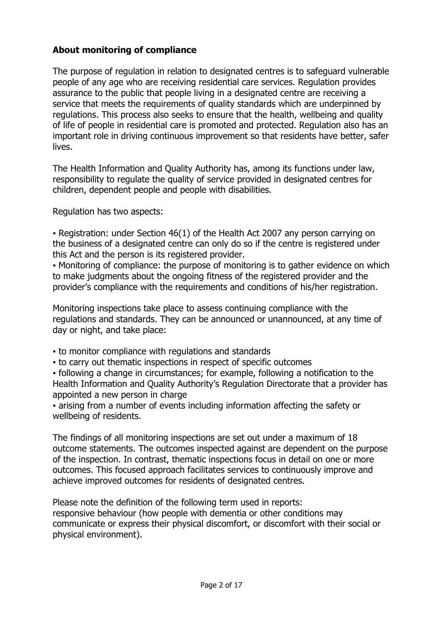## **About monitoring of compliance**

The purpose of regulation in relation to designated centres is to safeguard vulnerable people of any age who are receiving residential care services. Regulation provides assurance to the public that people living in a designated centre are receiving a service that meets the requirements of quality standards which are underpinned by regulations. This process also seeks to ensure that the health, wellbeing and quality of life of people in residential care is promoted and protected. Regulation also has an important role in driving continuous improvement so that residents have better, safer lives.

The Health Information and Quality Authority has, among its functions under law, responsibility to regulate the quality of service provided in designated centres for children, dependent people and people with disabilities.

Regulation has two aspects:

▪ Registration: under Section 46(1) of the Health Act 2007 any person carrying on the business of a designated centre can only do so if the centre is registered under this Act and the person is its registered provider.

• Monitoring of compliance: the purpose of monitoring is to gather evidence on which to make judgments about the ongoing fitness of the registered provider and the provider's compliance with the requirements and conditions of his/her registration.

Monitoring inspections take place to assess continuing compliance with the regulations and standards. They can be announced or unannounced, at any time of day or night, and take place:

- to monitor compliance with regulations and standards
- to carry out thematic inspections in respect of specific outcomes

▪ following a change in circumstances; for example, following a notification to the Health Information and Quality Authority's Regulation Directorate that a provider has appointed a new person in charge

▪ arising from a number of events including information affecting the safety or wellbeing of residents.

The findings of all monitoring inspections are set out under a maximum of 18 outcome statements. The outcomes inspected against are dependent on the purpose of the inspection. In contrast, thematic inspections focus in detail on one or more outcomes. This focused approach facilitates services to continuously improve and achieve improved outcomes for residents of designated centres.

Please note the definition of the following term used in reports: responsive behaviour (how people with dementia or other conditions may communicate or express their physical discomfort, or discomfort with their social or physical environment).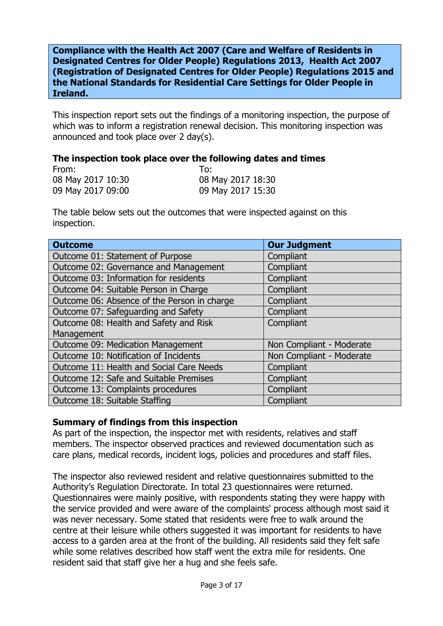**Compliance with the Health Act 2007 (Care and Welfare of Residents in Designated Centres for Older People) Regulations 2013, Health Act 2007 (Registration of Designated Centres for Older People) Regulations 2015 and the National Standards for Residential Care Settings for Older People in Ireland.**

This inspection report sets out the findings of a monitoring inspection, the purpose of which was to inform a registration renewal decision. This monitoring inspection was announced and took place over 2 day(s).

#### **The inspection took place over the following dates and times**

| From:             | To:               |
|-------------------|-------------------|
| 08 May 2017 10:30 | 08 May 2017 18:30 |
| 09 May 2017 09:00 | 09 May 2017 15:30 |

The table below sets out the outcomes that were inspected against on this inspection.

| <b>Outcome</b>                              | <b>Our Judgment</b>      |
|---------------------------------------------|--------------------------|
| Outcome 01: Statement of Purpose            | Compliant                |
| Outcome 02: Governance and Management       | Compliant                |
| Outcome 03: Information for residents       | Compliant                |
| Outcome 04: Suitable Person in Charge       | Compliant                |
| Outcome 06: Absence of the Person in charge | Compliant                |
| Outcome 07: Safeguarding and Safety         | Compliant                |
| Outcome 08: Health and Safety and Risk      | Compliant                |
| Management                                  |                          |
| Outcome 09: Medication Management           | Non Compliant - Moderate |
| Outcome 10: Notification of Incidents       | Non Compliant - Moderate |
| Outcome 11: Health and Social Care Needs    | Compliant                |
| Outcome 12: Safe and Suitable Premises      | Compliant                |
| Outcome 13: Complaints procedures           | Compliant                |
| Outcome 18: Suitable Staffing               | Compliant                |

## **Summary of findings from this inspection**

As part of the inspection, the inspector met with residents, relatives and staff members. The inspector observed practices and reviewed documentation such as care plans, medical records, incident logs, policies and procedures and staff files.

The inspector also reviewed resident and relative questionnaires submitted to the Authority's Regulation Directorate. In total 23 questionnaires were returned. Questionnaires were mainly positive, with respondents stating they were happy with the service provided and were aware of the complaints' process although most said it was never necessary. Some stated that residents were free to walk around the centre at their leisure while others suggested it was important for residents to have access to a garden area at the front of the building. All residents said they felt safe while some relatives described how staff went the extra mile for residents. One resident said that staff give her a hug and she feels safe.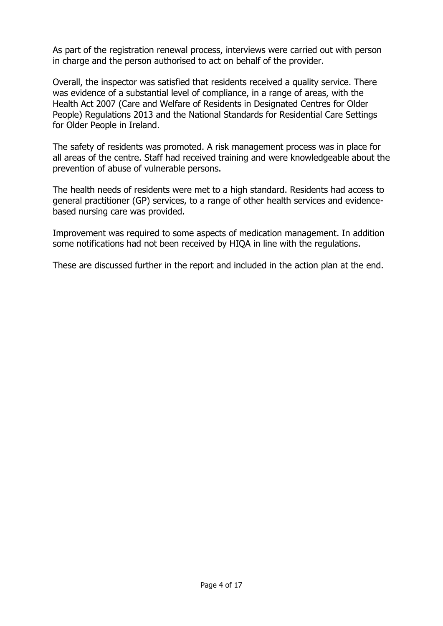As part of the registration renewal process, interviews were carried out with person in charge and the person authorised to act on behalf of the provider.

Overall, the inspector was satisfied that residents received a quality service. There was evidence of a substantial level of compliance, in a range of areas, with the Health Act 2007 (Care and Welfare of Residents in Designated Centres for Older People) Regulations 2013 and the National Standards for Residential Care Settings for Older People in Ireland.

The safety of residents was promoted. A risk management process was in place for all areas of the centre. Staff had received training and were knowledgeable about the prevention of abuse of vulnerable persons.

The health needs of residents were met to a high standard. Residents had access to general practitioner (GP) services, to a range of other health services and evidencebased nursing care was provided.

Improvement was required to some aspects of medication management. In addition some notifications had not been received by HIQA in line with the regulations.

These are discussed further in the report and included in the action plan at the end.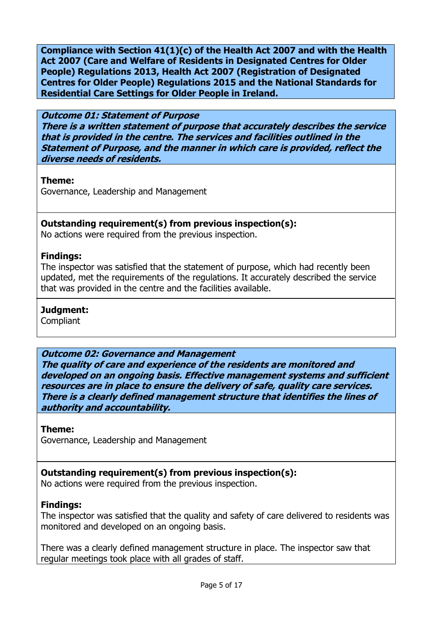**Compliance with Section 41(1)(c) of the Health Act 2007 and with the Health Act 2007 (Care and Welfare of Residents in Designated Centres for Older People) Regulations 2013, Health Act 2007 (Registration of Designated Centres for Older People) Regulations 2015 and the National Standards for Residential Care Settings for Older People in Ireland.**

## **Outcome 01: Statement of Purpose**

**There is a written statement of purpose that accurately describes the service that is provided in the centre. The services and facilities outlined in the Statement of Purpose, and the manner in which care is provided, reflect the diverse needs of residents.**

## **Theme:**

Governance, Leadership and Management

## **Outstanding requirement(s) from previous inspection(s):**

No actions were required from the previous inspection.

## **Findings:**

The inspector was satisfied that the statement of purpose, which had recently been updated, met the requirements of the regulations. It accurately described the service that was provided in the centre and the facilities available.

## **Judgment:**

**Compliant** 

# **Outcome 02: Governance and Management**

**The quality of care and experience of the residents are monitored and developed on an ongoing basis. Effective management systems and sufficient resources are in place to ensure the delivery of safe, quality care services. There is a clearly defined management structure that identifies the lines of authority and accountability.**

## **Theme:**

Governance, Leadership and Management

# **Outstanding requirement(s) from previous inspection(s):**

No actions were required from the previous inspection.

## **Findings:**

The inspector was satisfied that the quality and safety of care delivered to residents was monitored and developed on an ongoing basis.

There was a clearly defined management structure in place. The inspector saw that regular meetings took place with all grades of staff.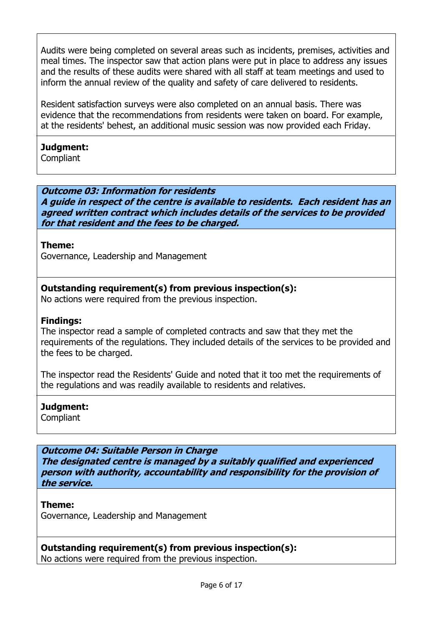Audits were being completed on several areas such as incidents, premises, activities and meal times. The inspector saw that action plans were put in place to address any issues and the results of these audits were shared with all staff at team meetings and used to inform the annual review of the quality and safety of care delivered to residents.

Resident satisfaction surveys were also completed on an annual basis. There was evidence that the recommendations from residents were taken on board. For example, at the residents' behest, an additional music session was now provided each Friday.

# **Judgment:**

**Compliant** 

**Outcome 03: Information for residents A guide in respect of the centre is available to residents. Each resident has an agreed written contract which includes details of the services to be provided for that resident and the fees to be charged.**

## **Theme:**

Governance, Leadership and Management

# **Outstanding requirement(s) from previous inspection(s):**

No actions were required from the previous inspection.

## **Findings:**

The inspector read a sample of completed contracts and saw that they met the requirements of the regulations. They included details of the services to be provided and the fees to be charged.

The inspector read the Residents' Guide and noted that it too met the requirements of the regulations and was readily available to residents and relatives.

# **Judgment:**

Compliant

**Outcome 04: Suitable Person in Charge The designated centre is managed by a suitably qualified and experienced person with authority, accountability and responsibility for the provision of the service.**

## **Theme:**

Governance, Leadership and Management

**Outstanding requirement(s) from previous inspection(s):**  No actions were required from the previous inspection.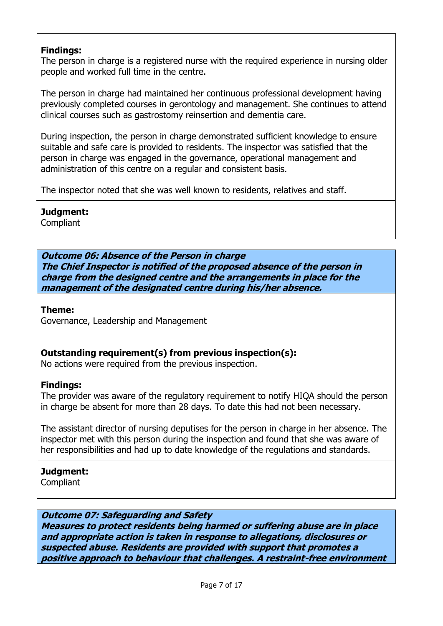## **Findings:**

The person in charge is a registered nurse with the required experience in nursing older people and worked full time in the centre.

The person in charge had maintained her continuous professional development having previously completed courses in gerontology and management. She continues to attend clinical courses such as gastrostomy reinsertion and dementia care.

During inspection, the person in charge demonstrated sufficient knowledge to ensure suitable and safe care is provided to residents. The inspector was satisfied that the person in charge was engaged in the governance, operational management and administration of this centre on a regular and consistent basis.

The inspector noted that she was well known to residents, relatives and staff.

# **Judgment:**

**Compliant** 

**Outcome 06: Absence of the Person in charge The Chief Inspector is notified of the proposed absence of the person in charge from the designed centre and the arrangements in place for the management of the designated centre during his/her absence.**

**Theme:** 

Governance, Leadership and Management

**Outstanding requirement(s) from previous inspection(s):** 

No actions were required from the previous inspection.

# **Findings:**

The provider was aware of the regulatory requirement to notify HIQA should the person in charge be absent for more than 28 days. To date this had not been necessary.

The assistant director of nursing deputises for the person in charge in her absence. The inspector met with this person during the inspection and found that she was aware of her responsibilities and had up to date knowledge of the regulations and standards.

**Judgment:** Compliant

# **Outcome 07: Safeguarding and Safety**

**Measures to protect residents being harmed or suffering abuse are in place and appropriate action is taken in response to allegations, disclosures or suspected abuse. Residents are provided with support that promotes a positive approach to behaviour that challenges. A restraint-free environment**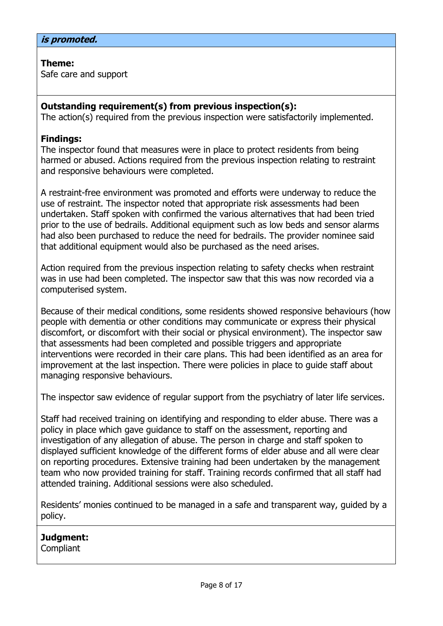## **Theme:**

Safe care and support

## **Outstanding requirement(s) from previous inspection(s):**

The action(s) required from the previous inspection were satisfactorily implemented.

## **Findings:**

The inspector found that measures were in place to protect residents from being harmed or abused. Actions required from the previous inspection relating to restraint and responsive behaviours were completed.

A restraint-free environment was promoted and efforts were underway to reduce the use of restraint. The inspector noted that appropriate risk assessments had been undertaken. Staff spoken with confirmed the various alternatives that had been tried prior to the use of bedrails. Additional equipment such as low beds and sensor alarms had also been purchased to reduce the need for bedrails. The provider nominee said that additional equipment would also be purchased as the need arises.

Action required from the previous inspection relating to safety checks when restraint was in use had been completed. The inspector saw that this was now recorded via a computerised system.

Because of their medical conditions, some residents showed responsive behaviours (how people with dementia or other conditions may communicate or express their physical discomfort, or discomfort with their social or physical environment). The inspector saw that assessments had been completed and possible triggers and appropriate interventions were recorded in their care plans. This had been identified as an area for improvement at the last inspection. There were policies in place to guide staff about managing responsive behaviours.

The inspector saw evidence of regular support from the psychiatry of later life services.

Staff had received training on identifying and responding to elder abuse. There was a policy in place which gave guidance to staff on the assessment, reporting and investigation of any allegation of abuse. The person in charge and staff spoken to displayed sufficient knowledge of the different forms of elder abuse and all were clear on reporting procedures. Extensive training had been undertaken by the management team who now provided training for staff. Training records confirmed that all staff had attended training. Additional sessions were also scheduled.

Residents' monies continued to be managed in a safe and transparent way, guided by a policy.

**Judgment: Compliant**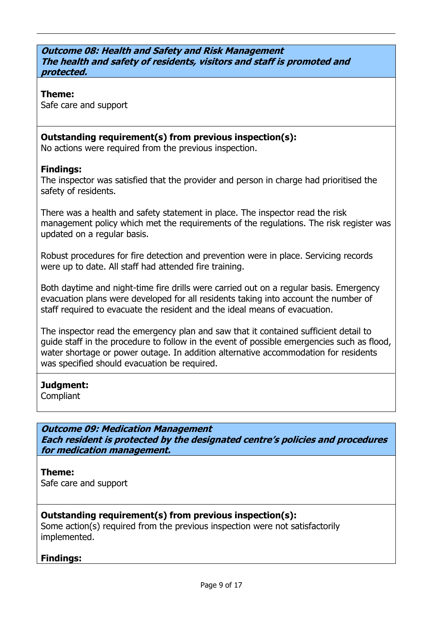#### **Outcome 08: Health and Safety and Risk Management The health and safety of residents, visitors and staff is promoted and protected.**

#### **Theme:**

Safe care and support

## **Outstanding requirement(s) from previous inspection(s):**

No actions were required from the previous inspection.

#### **Findings:**

The inspector was satisfied that the provider and person in charge had prioritised the safety of residents.

There was a health and safety statement in place. The inspector read the risk management policy which met the requirements of the requiations. The risk register was updated on a regular basis.

Robust procedures for fire detection and prevention were in place. Servicing records were up to date. All staff had attended fire training.

Both daytime and night-time fire drills were carried out on a regular basis. Emergency evacuation plans were developed for all residents taking into account the number of staff required to evacuate the resident and the ideal means of evacuation.

The inspector read the emergency plan and saw that it contained sufficient detail to guide staff in the procedure to follow in the event of possible emergencies such as flood, water shortage or power outage. In addition alternative accommodation for residents was specified should evacuation be required.

#### **Judgment:**

Compliant

**Outcome 09: Medication Management Each resident is protected by the designated centre's policies and procedures for medication management.**

**Theme:**  Safe care and support

## **Outstanding requirement(s) from previous inspection(s):**

Some action(s) required from the previous inspection were not satisfactorily implemented.

## **Findings:**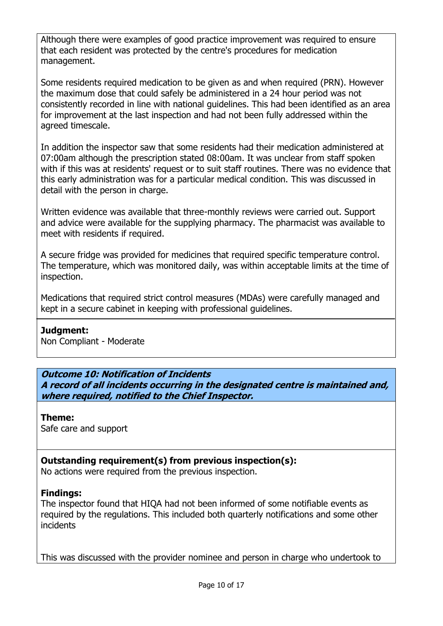Although there were examples of good practice improvement was required to ensure that each resident was protected by the centre's procedures for medication management.

Some residents required medication to be given as and when required (PRN). However the maximum dose that could safely be administered in a 24 hour period was not consistently recorded in line with national guidelines. This had been identified as an area for improvement at the last inspection and had not been fully addressed within the agreed timescale.

In addition the inspector saw that some residents had their medication administered at 07:00am although the prescription stated 08:00am. It was unclear from staff spoken with if this was at residents' request or to suit staff routines. There was no evidence that this early administration was for a particular medical condition. This was discussed in detail with the person in charge.

Written evidence was available that three-monthly reviews were carried out. Support and advice were available for the supplying pharmacy. The pharmacist was available to meet with residents if required.

A secure fridge was provided for medicines that required specific temperature control. The temperature, which was monitored daily, was within acceptable limits at the time of inspection.

Medications that required strict control measures (MDAs) were carefully managed and kept in a secure cabinet in keeping with professional guidelines.

#### **Judgment:** Non Compliant - Moderate

# **Outcome 10: Notification of Incidents**

**A record of all incidents occurring in the designated centre is maintained and, where required, notified to the Chief Inspector.**

# **Theme:**

Safe care and support

# **Outstanding requirement(s) from previous inspection(s):**

No actions were required from the previous inspection.

# **Findings:**

The inspector found that HIQA had not been informed of some notifiable events as required by the regulations. This included both quarterly notifications and some other incidents

This was discussed with the provider nominee and person in charge who undertook to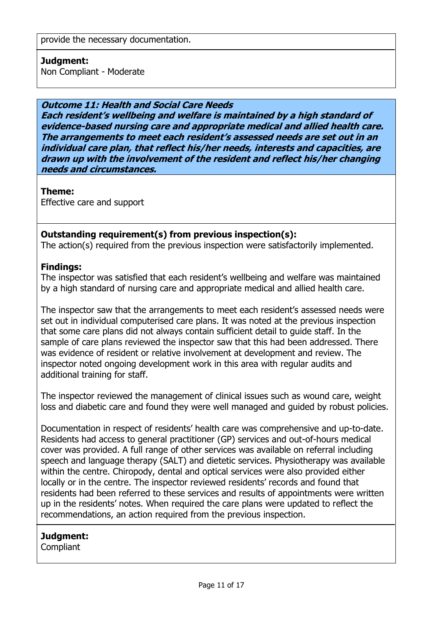## **Judgment:**

Non Compliant - Moderate

## **Outcome 11: Health and Social Care Needs**

**Each resident's wellbeing and welfare is maintained by a high standard of evidence-based nursing care and appropriate medical and allied health care. The arrangements to meet each resident's assessed needs are set out in an individual care plan, that reflect his/her needs, interests and capacities, are drawn up with the involvement of the resident and reflect his/her changing needs and circumstances.**

## **Theme:**

Effective care and support

## **Outstanding requirement(s) from previous inspection(s):**

The action(s) required from the previous inspection were satisfactorily implemented.

## **Findings:**

The inspector was satisfied that each resident's wellbeing and welfare was maintained by a high standard of nursing care and appropriate medical and allied health care.

The inspector saw that the arrangements to meet each resident's assessed needs were set out in individual computerised care plans. It was noted at the previous inspection that some care plans did not always contain sufficient detail to guide staff. In the sample of care plans reviewed the inspector saw that this had been addressed. There was evidence of resident or relative involvement at development and review. The inspector noted ongoing development work in this area with regular audits and additional training for staff.

The inspector reviewed the management of clinical issues such as wound care, weight loss and diabetic care and found they were well managed and guided by robust policies.

Documentation in respect of residents' health care was comprehensive and up-to-date. Residents had access to general practitioner (GP) services and out-of-hours medical cover was provided. A full range of other services was available on referral including speech and language therapy (SALT) and dietetic services. Physiotherapy was available within the centre. Chiropody, dental and optical services were also provided either locally or in the centre. The inspector reviewed residents' records and found that residents had been referred to these services and results of appointments were written up in the residents' notes. When required the care plans were updated to reflect the recommendations, an action required from the previous inspection.

## **Judgment:**

Compliant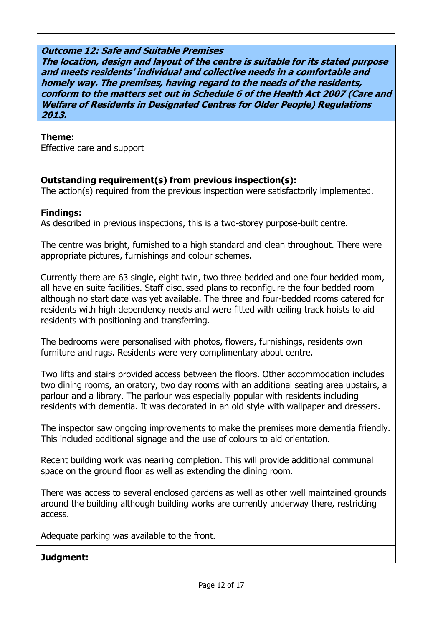#### **Outcome 12: Safe and Suitable Premises**

**The location, design and layout of the centre is suitable for its stated purpose and meets residents' individual and collective needs in a comfortable and homely way. The premises, having regard to the needs of the residents, conform to the matters set out in Schedule 6 of the Health Act 2007 (Care and Welfare of Residents in Designated Centres for Older People) Regulations 2013.**

#### **Theme:**

Effective care and support

## **Outstanding requirement(s) from previous inspection(s):**

The action(s) required from the previous inspection were satisfactorily implemented.

#### **Findings:**

As described in previous inspections, this is a two-storey purpose-built centre.

The centre was bright, furnished to a high standard and clean throughout. There were appropriate pictures, furnishings and colour schemes.

Currently there are 63 single, eight twin, two three bedded and one four bedded room, all have en suite facilities. Staff discussed plans to reconfigure the four bedded room although no start date was yet available. The three and four-bedded rooms catered for residents with high dependency needs and were fitted with ceiling track hoists to aid residents with positioning and transferring.

The bedrooms were personalised with photos, flowers, furnishings, residents own furniture and rugs. Residents were very complimentary about centre.

Two lifts and stairs provided access between the floors. Other accommodation includes two dining rooms, an oratory, two day rooms with an additional seating area upstairs, a parlour and a library. The parlour was especially popular with residents including residents with dementia. It was decorated in an old style with wallpaper and dressers.

The inspector saw ongoing improvements to make the premises more dementia friendly. This included additional signage and the use of colours to aid orientation.

Recent building work was nearing completion. This will provide additional communal space on the ground floor as well as extending the dining room.

There was access to several enclosed gardens as well as other well maintained grounds around the building although building works are currently underway there, restricting access.

Adequate parking was available to the front.

#### **Judgment:**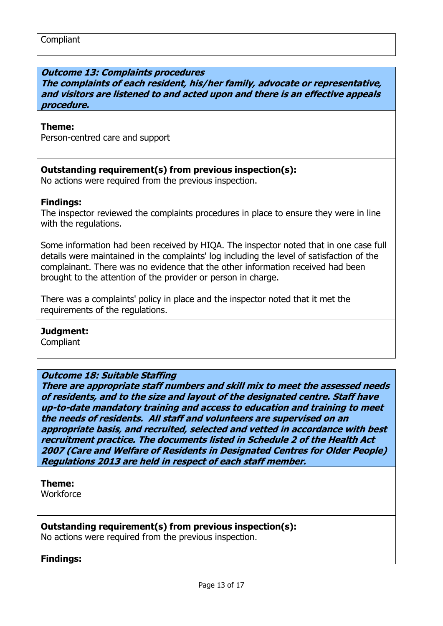#### **Outcome 13: Complaints procedures**

**The complaints of each resident, his/her family, advocate or representative, and visitors are listened to and acted upon and there is an effective appeals procedure.**

#### **Theme:**

Person-centred care and support

#### **Outstanding requirement(s) from previous inspection(s):**

No actions were required from the previous inspection.

#### **Findings:**

The inspector reviewed the complaints procedures in place to ensure they were in line with the regulations.

Some information had been received by HIQA. The inspector noted that in one case full details were maintained in the complaints' log including the level of satisfaction of the complainant. There was no evidence that the other information received had been brought to the attention of the provider or person in charge.

There was a complaints' policy in place and the inspector noted that it met the requirements of the regulations.

#### **Judgment:**

**Compliant** 

#### **Outcome 18: Suitable Staffing**

**There are appropriate staff numbers and skill mix to meet the assessed needs of residents, and to the size and layout of the designated centre. Staff have up-to-date mandatory training and access to education and training to meet the needs of residents. All staff and volunteers are supervised on an appropriate basis, and recruited, selected and vetted in accordance with best recruitment practice. The documents listed in Schedule 2 of the Health Act 2007 (Care and Welfare of Residents in Designated Centres for Older People) Regulations 2013 are held in respect of each staff member.**

#### **Theme:**

**Workforce** 

#### **Outstanding requirement(s) from previous inspection(s):**

No actions were required from the previous inspection.

#### **Findings:**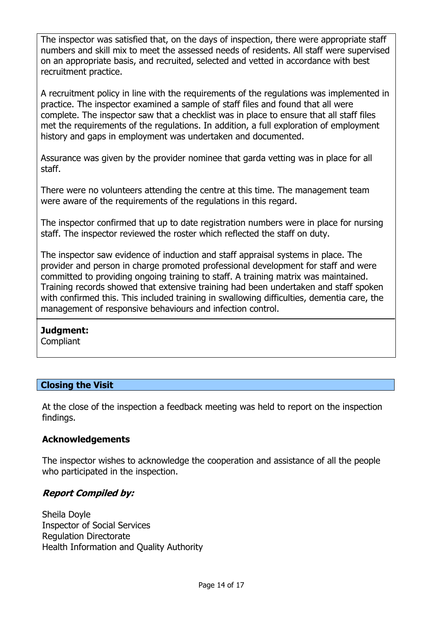The inspector was satisfied that, on the days of inspection, there were appropriate staff numbers and skill mix to meet the assessed needs of residents. All staff were supervised on an appropriate basis, and recruited, selected and vetted in accordance with best recruitment practice.

A recruitment policy in line with the requirements of the regulations was implemented in practice. The inspector examined a sample of staff files and found that all were complete. The inspector saw that a checklist was in place to ensure that all staff files met the requirements of the regulations. In addition, a full exploration of employment history and gaps in employment was undertaken and documented.

Assurance was given by the provider nominee that garda vetting was in place for all staff.

There were no volunteers attending the centre at this time. The management team were aware of the requirements of the regulations in this regard.

The inspector confirmed that up to date registration numbers were in place for nursing staff. The inspector reviewed the roster which reflected the staff on duty.

The inspector saw evidence of induction and staff appraisal systems in place. The provider and person in charge promoted professional development for staff and were committed to providing ongoing training to staff. A training matrix was maintained. Training records showed that extensive training had been undertaken and staff spoken with confirmed this. This included training in swallowing difficulties, dementia care, the management of responsive behaviours and infection control.

## **Judgment:**

**Compliant** 

## **Closing the Visit**

At the close of the inspection a feedback meeting was held to report on the inspection findings.

## **Acknowledgements**

The inspector wishes to acknowledge the cooperation and assistance of all the people who participated in the inspection.

# **Report Compiled by:**

Sheila Doyle Inspector of Social Services Regulation Directorate Health Information and Quality Authority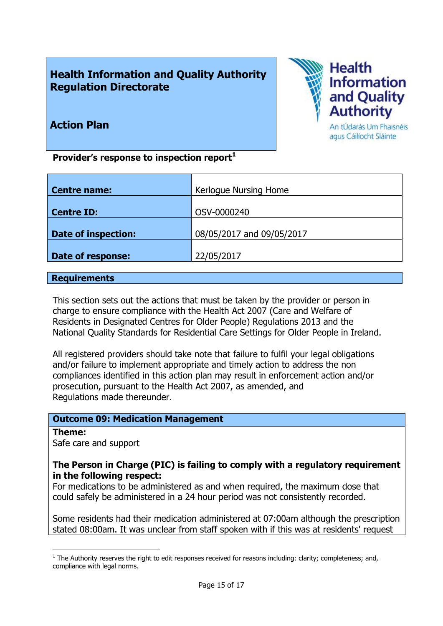# **Health Information and Quality Authority Regulation Directorate**



# **Action Plan**

**Provider's response to inspection report<sup>1</sup>**

| <b>Centre name:</b>        | Kerlogue Nursing Home     |
|----------------------------|---------------------------|
|                            |                           |
| <b>Centre ID:</b>          | OSV-0000240               |
|                            |                           |
| <b>Date of inspection:</b> | 08/05/2017 and 09/05/2017 |
|                            |                           |
| Date of response:          | 22/05/2017                |
|                            |                           |

#### **Requirements**

This section sets out the actions that must be taken by the provider or person in charge to ensure compliance with the Health Act 2007 (Care and Welfare of Residents in Designated Centres for Older People) Regulations 2013 and the National Quality Standards for Residential Care Settings for Older People in Ireland.

All registered providers should take note that failure to fulfil your legal obligations and/or failure to implement appropriate and timely action to address the non compliances identified in this action plan may result in enforcement action and/or prosecution, pursuant to the Health Act 2007, as amended, and Regulations made thereunder.

## **Outcome 09: Medication Management**

#### **Theme:**

 $\overline{a}$ 

Safe care and support

## **The Person in Charge (PIC) is failing to comply with a regulatory requirement in the following respect:**

For medications to be administered as and when required, the maximum dose that could safely be administered in a 24 hour period was not consistently recorded.

Some residents had their medication administered at 07:00am although the prescription stated 08:00am. It was unclear from staff spoken with if this was at residents' request

 $<sup>1</sup>$  The Authority reserves the right to edit responses received for reasons including: clarity; completeness; and,</sup> compliance with legal norms.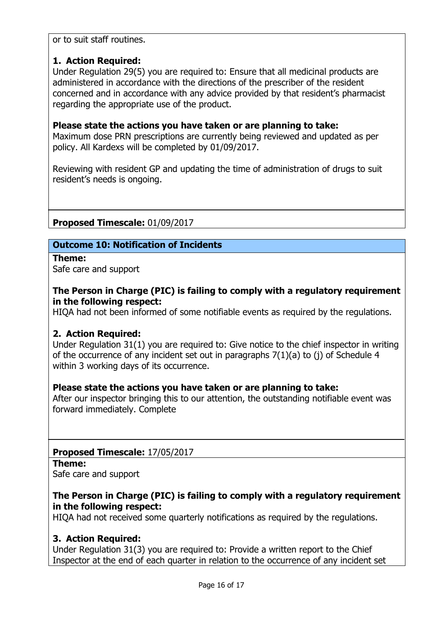or to suit staff routines.

# **1. Action Required:**

Under Regulation 29(5) you are required to: Ensure that all medicinal products are administered in accordance with the directions of the prescriber of the resident concerned and in accordance with any advice provided by that resident's pharmacist regarding the appropriate use of the product.

#### **Please state the actions you have taken or are planning to take:**

Maximum dose PRN prescriptions are currently being reviewed and updated as per policy. All Kardexs will be completed by 01/09/2017.

Reviewing with resident GP and updating the time of administration of drugs to suit resident's needs is ongoing.

**Proposed Timescale:** 01/09/2017

## **Outcome 10: Notification of Incidents**

**Theme:**  Safe care and support

## **The Person in Charge (PIC) is failing to comply with a regulatory requirement in the following respect:**

HIQA had not been informed of some notifiable events as required by the regulations.

## **2. Action Required:**

Under Regulation 31(1) you are required to: Give notice to the chief inspector in writing of the occurrence of any incident set out in paragraphs 7(1)(a) to (j) of Schedule 4 within 3 working days of its occurrence.

## **Please state the actions you have taken or are planning to take:**

After our inspector bringing this to our attention, the outstanding notifiable event was forward immediately. Complete

## **Proposed Timescale:** 17/05/2017

#### **Theme:**

Safe care and support

## **The Person in Charge (PIC) is failing to comply with a regulatory requirement in the following respect:**

HIQA had not received some quarterly notifications as required by the regulations.

## **3. Action Required:**

Under Regulation 31(3) you are required to: Provide a written report to the Chief Inspector at the end of each quarter in relation to the occurrence of any incident set